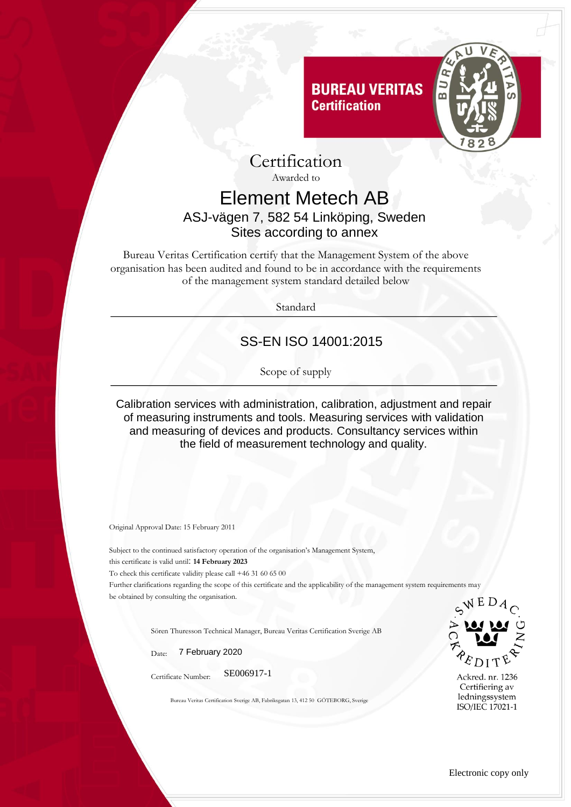



Awarded to

## Element Metech AB ASJ-vägen 7, 582 54 Linköping, Sweden Sites according to annex

Bureau Veritas Certification certify that the Management System of the above organisation has been audited and found to be in accordance with the requirements of the management system standard detailed below

Standard

## SS-EN ISO 14001:2015

Scope of supply

Calibration services with administration, calibration, adjustment and repair of measuring instruments and tools. Measuring services with validation and measuring of devices and products. Consultancy services within the field of measurement technology and quality.

Original Approval Date: 15 February 2011

Subject to the continued satisfactory operation of the organisation's Management System, this certificate is valid until: **14 February 2023** To check this certificate validity please call +46 31 60 65 00 Further clarifications regarding the scope of this certificate and the applicability of the management system requirements may be obtained by consulting the organisation.

Sören Thuresson Technical Manager, Bureau Veritas Certification Sverige AB

Date: 7 February 2020

Certificate Number: SE006917-1

Bureau Veritas Certification Sverige AB, Fabriksgatan 13, 412 50 GÖTEBORG, Sverige



Ackred. nr. 1236 Certifiering av ledningssystem ISO/IEC 17021-1

Electronic copy only